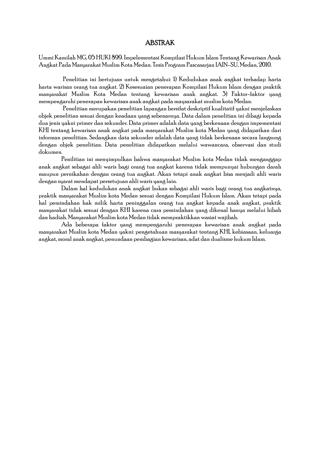## ABSTRAK

Ummi Kamilah MG, 05 HUKI 899. Impelementasi Kompilasi Hukum Islam Tentang Kewarisan Anak Angkat Pada Masyarakat Muslim Kota Medan. Tesis Program Pascasarjan IAIN-SU, Medan, 2010.

Penelitian ini bertujuan untuk mengetahui: 1) Kedudukan anak angkat terhadap harta harta warisan orang tua angkat. 2) Kesesuaian penerapan Kompilasi Hukum Islam dengan praktik masyarakat Muslim Kota Medan tentang kewarisan anak angkat. 3) Faktor-faktor yang mempengaruhi penerapan kewarisan anak angkat pada maysarakat muslim kota Medan.

Penelitian merupakan penelitian lapangan bersifat deskriptif kualitatif yakni menjelaskan objek penelitian sesuai dengan keadaan yang sebenarnya. Data dalam penelitian ini dibagi kepada dua jenis yakni primer dan sekunder. Data primer adalah data yang berkenaan dengan impementasi KHI tentang kewarisan anak angkat pada masyarakat Muslim kota Medan yang didapatkan dari informan penelitian. Sedangkan data sekunder adalah data yang tidak berkenaan secara langsung dengan objek penelitian. Data penelitian didapatkan melalui wawancara, observasi dan studi dokumen.

Penilitian ini menyimpulkan bahwa masyarakat Muslim kota Medan tidak menganggap anak angkat sebagai ahli waris bagi orang tua angkat karena tidak mempunyai hubungan darah maupun pernikahan dengan orang tua angkat. Akan tetapi anak angkat bisa menjadi ahli waris dengan syarat mendapat persetujuan ahli waris yang lain.

Dalam hal kedudukan anak angkat bukan sebagai ahli waris bagi orang tua angkatnya, praktik masyarakat Muslim kota Medan sesuai dengan Kompilasi Hukum Islam. Akan tetapi pada hal pemindahan hak milik harta peninggalan orang tua angkat kepada anak angkat, praktik masyarakat tidak sesuai dengan KHI karena cara pemindahan yang dikenal hanya melalui hibah dan hadiah. Masyarakat Muslim kota Medan tidak mempraktikkan wasiat wajibah.

Ada beberapa faktor yang mempengaruhi penerapan kewarisan anak angkat pada masyarakat Muslim kota Medan yakni: pengetahuan masyarakat tentang KHI, kebiasaan, keluarga angkat, moral anak angkat, penundaan pembagian kewarisan, adat dan dualisme hukum Islam.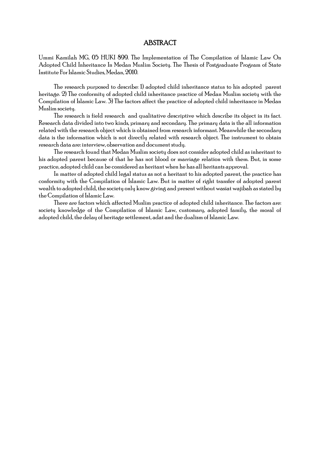## ABSTRACT

Ummi Kamilah MG, 05 HUKI 899. The Implementation of The Compilation of Islamic Law On Adopted Child Inheritance In Medan Muslim Society. The Thesis of Postgraduate Program of State Institute For Islamic Studies, Medan, 2010.

The research purposed to describe: 1) adopted child inheritance status to his adopted parent heritage. 2) The conformity of adopted child inheritance practice of Medan Muslim society with the Compilation of Islamic Law. 3) The factors affect the practice of adopted child inheritance in Medan Muslim society.

The research is field research and qualitative descriptive which describe its object in its fact. Research data divided into two kinds, primary and secondary. The primary data is the all information related with the research object which is obtained from research informant. Meanwhile the secondary data is the information which is not directly related with research object. The instrument to obtain research data are: interview, observation and document study.

The research found that Medan Muslim society does not consider adopted child as inheritant to his adopted parent because of that he has not blood or marriage relation with them. But, in some practice, adopted child can be considered as heritant when he has all heritants approval.

In matter of adopted child legal status as not a heritant to his adopted parent, the practice has conformity with the Compilation of Islamic Law. But in matter of right transfer of adopted parent wealth to adopted child, the society only know giving and present without wasiat wajibah as stated by the Compilation of Islamic Law.

There are factors which affected Muslim practice of adopted child inheritance. The factors are: society knowledge of the Compilation of Islamic Law, customary, adopted family, the moral of adopted child, the delay of heritage settlement, adat and the dualism of Islamic Law.